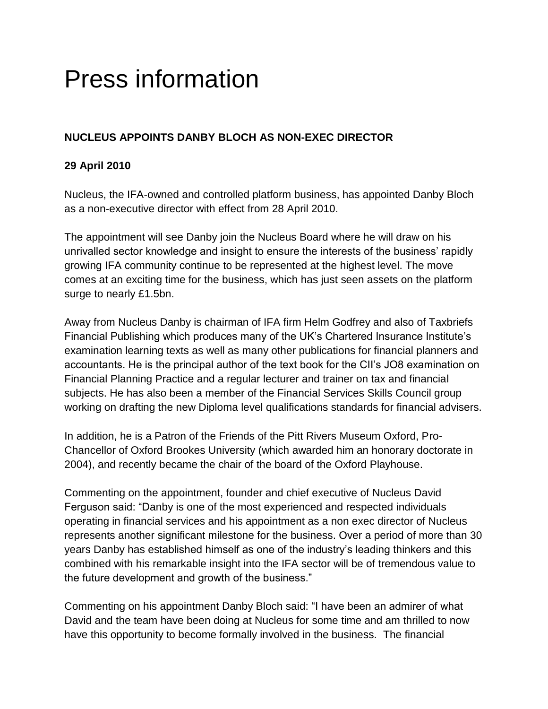## Press information

## **NUCLEUS APPOINTS DANBY BLOCH AS NON-EXEC DIRECTOR**

## **29 April 2010**

Nucleus, the IFA-owned and controlled platform business, has appointed Danby Bloch as a non-executive director with effect from 28 April 2010.

The appointment will see Danby join the Nucleus Board where he will draw on his unrivalled sector knowledge and insight to ensure the interests of the business' rapidly growing IFA community continue to be represented at the highest level. The move comes at an exciting time for the business, which has just seen assets on the platform surge to nearly £1.5bn.

Away from Nucleus Danby is chairman of IFA firm Helm Godfrey and also of Taxbriefs Financial Publishing which produces many of the UK's Chartered Insurance Institute's examination learning texts as well as many other publications for financial planners and accountants. He is the principal author of the text book for the CII's JO8 examination on Financial Planning Practice and a regular lecturer and trainer on tax and financial subjects. He has also been a member of the Financial Services Skills Council group working on drafting the new Diploma level qualifications standards for financial advisers.

In addition, he is a Patron of the Friends of the Pitt Rivers Museum Oxford, Pro-Chancellor of Oxford Brookes University (which awarded him an honorary doctorate in 2004), and recently became the chair of the board of the Oxford Playhouse.

Commenting on the appointment, founder and chief executive of Nucleus David Ferguson said: "Danby is one of the most experienced and respected individuals operating in financial services and his appointment as a non exec director of Nucleus represents another significant milestone for the business. Over a period of more than 30 years Danby has established himself as one of the industry's leading thinkers and this combined with his remarkable insight into the IFA sector will be of tremendous value to the future development and growth of the business."

Commenting on his appointment Danby Bloch said: "I have been an admirer of what David and the team have been doing at Nucleus for some time and am thrilled to now have this opportunity to become formally involved in the business. The financial